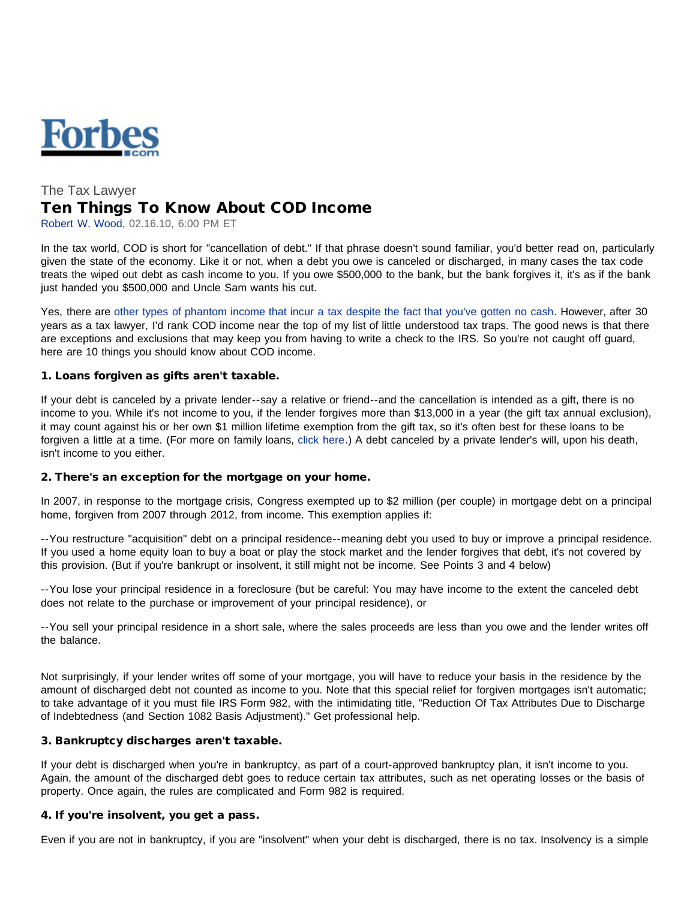

# The Tax Lawyer Ten Things To Know About COD Income

Robert W. Wood, 02.16.10, 6:00 PM ET

In the tax world, COD is short for "cancellation of debt." If that phrase doesn't sound familiar, you'd better read on, particularly given the state of the economy. Like it or not, when a debt you owe is canceled or discharged, in many cases the tax code treats the wiped out debt as cash income to you. If you owe \$500,000 to the bank, but the bank forgives it, it's as if the bank just handed you \$500,000 and Uncle Sam wants his cut.

Yes, there are [other types of phantom income that incur a tax despite the fact that you've gotten no cash](http://www.forbes.com/2009/10/12/tax-cancelled-debt-deferred-income-personal-finance-wood.html). However, after 30 years as a tax lawyer, I'd rank COD income near the top of my list of little understood tax traps. The good news is that there are exceptions and exclusions that may keep you from having to write a check to the IRS. So you're not caught off guard, here are 10 things you should know about COD income.

#### 1. Loans forgiven as gifts aren't taxable.

If your debt is canceled by a private lender--say a relative or friend--and the cancellation is intended as a gift, there is no income to you. While it's not income to you, if the lender forgives more than \$13,000 in a year (the gift tax annual exclusion), it may count against his or her own \$1 million lifetime exemption from the gift tax, so it's often best for these loans to be forgiven a little at a time. (For more on family loans, [click here.](http://www.forbes.com/2009/10/29/family-loans-taxes-personal-finance-parents-loan.html)) A debt canceled by a private lender's will, upon his death, isn't income to you either.

# 2. There's an exception for the mortgage on your home.

In 2007, in response to the mortgage crisis, Congress exempted up to \$2 million (per couple) in mortgage debt on a principal home, forgiven from 2007 through 2012, from income. This exemption applies if:

--You restructure "acquisition" debt on a principal residence--meaning debt you used to buy or improve a principal residence. If you used a home equity loan to buy a boat or play the stock market and the lender forgives that debt, it's not covered by this provision. (But if you're bankrupt or insolvent, it still might not be income. See Points 3 and 4 below)

--You lose your principal residence in a foreclosure (but be careful: You may have income to the extent the canceled debt does not relate to the purchase or improvement of your principal residence), or

--You sell your principal residence in a short sale, where the sales proceeds are less than you owe and the lender writes off the balance.

Not surprisingly, if your lender writes off some of your mortgage, you will have to reduce your basis in the residence by the amount of discharged debt not counted as income to you. Note that this special relief for forgiven mortgages isn't automatic; to take advantage of it you must file IRS Form 982, with the intimidating title, "Reduction Of Tax Attributes Due to Discharge of Indebtedness (and Section 1082 Basis Adjustment)." Get professional help.

#### 3. Bankruptcy discharges aren't taxable.

If your debt is discharged when you're in bankruptcy, as part of a court-approved bankruptcy plan, it isn't income to you. Again, the amount of the discharged debt goes to reduce certain tax attributes, such as net operating losses or the basis of property. Once again, the rules are complicated and Form 982 is required.

# 4. If you're insolvent, you get a pass.

Even if you are not in bankruptcy, if you are "insolvent" when your debt is discharged, there is no tax. Insolvency is a simple